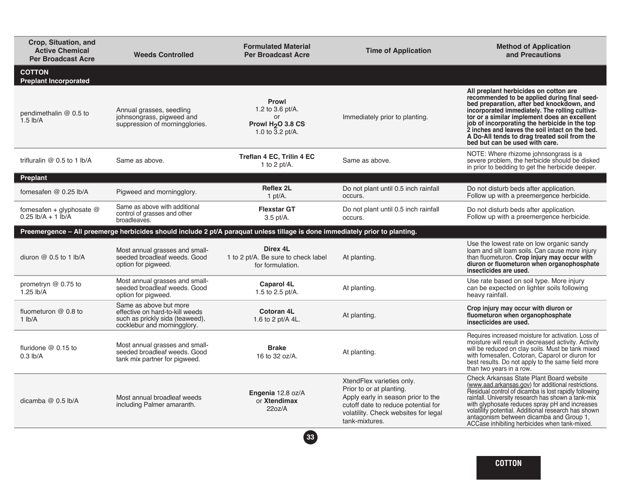| Crop, Situation, and<br><b>Active Chemical</b><br><b>Per Broadcast Acre</b> | <b>Weeds Controlled</b>                                                                                                     | <b>Formulated Material</b><br><b>Per Broadcast Acre</b>                                                                      | <b>Time of Application</b>                                                                                                                                                                   | <b>Method of Application</b><br>and Precautions                                                                                                                                                                                                                                                                                                                                                                            |
|-----------------------------------------------------------------------------|-----------------------------------------------------------------------------------------------------------------------------|------------------------------------------------------------------------------------------------------------------------------|----------------------------------------------------------------------------------------------------------------------------------------------------------------------------------------------|----------------------------------------------------------------------------------------------------------------------------------------------------------------------------------------------------------------------------------------------------------------------------------------------------------------------------------------------------------------------------------------------------------------------------|
| <b>COTTON</b><br><b>Preplant Incorporated</b>                               |                                                                                                                             |                                                                                                                              |                                                                                                                                                                                              |                                                                                                                                                                                                                                                                                                                                                                                                                            |
| pendimethalin @ 0.5 to<br>$1.5$ lb/A                                        | Annual grasses, seedling<br>johnsongrass, pigweed and<br>suppression of morningglories.                                     | <b>Prowl</b><br>1.2 to 3.6 pt/A.<br>or<br>Prowl H <sub>2</sub> O 3.8 CS<br>1.0 to 3.2 pt/A.                                  | Immediately prior to planting.                                                                                                                                                               | All preplant herbicides on cotton are<br>recommended to be applied during final seed-<br>bed preparation, after bed knockdown, and<br>incorporated immediately. The rolling cultiva-<br>tor or a similar implement does an excellent<br>job of incorporating the herbicide in the top<br>2 inches and leaves the soil intact on the bed.<br>A Do-All tends to drag treated soil from the<br>bed but can be used with care. |
| trifluralin $@$ 0.5 to 1 lb/A                                               | Same as above.                                                                                                              | Treflan 4 EC, Trilin 4 EC<br>1 to 2 $pt/A$ .                                                                                 | Same as above.                                                                                                                                                                               | NOTE: Where rhizome johnsongrass is a<br>severe problem, the herbicide should be disked<br>in prior to bedding to get the herbicide deeper.                                                                                                                                                                                                                                                                                |
| <b>Preplant</b>                                                             |                                                                                                                             |                                                                                                                              |                                                                                                                                                                                              |                                                                                                                                                                                                                                                                                                                                                                                                                            |
| fomesafen @ 0.25 lb/A                                                       | Pigweed and morningglory.                                                                                                   | <b>Reflex 2L</b><br>1 pt/ $A$ .                                                                                              | Do not plant until 0.5 inch rainfall<br>occurs.                                                                                                                                              | Do not disturb beds after application.<br>Follow up with a preemergence herbicide.                                                                                                                                                                                                                                                                                                                                         |
| fomesafen + glyphosate @<br>$0.25$ lb/A + 1 lb/A                            | Same as above with additional<br>control of grasses and other<br>broadleaves.                                               | <b>Flexstar GT</b><br>$3.5$ pt/A.                                                                                            | Do not plant until 0.5 inch rainfall<br>occurs.                                                                                                                                              | Do not disturb beds after application.<br>Follow up with a preemergence herbicide.                                                                                                                                                                                                                                                                                                                                         |
|                                                                             |                                                                                                                             | Preemergence - All preemerge herbicides should include 2 pt/A paraquat unless tillage is done immediately prior to planting. |                                                                                                                                                                                              |                                                                                                                                                                                                                                                                                                                                                                                                                            |
| diuron @ 0.5 to 1 lb/A                                                      | Most annual grasses and small-<br>seeded broadleaf weeds. Good<br>option for pigweed.                                       | Direx 4L<br>1 to 2 pt/A. Be sure to check label<br>for formulation.                                                          | At planting.                                                                                                                                                                                 | Use the lowest rate on low organic sandy<br>loam and silt loam soils. Can cause more injury<br>than fluometuron. Crop injury may occur with<br>diuron or fluometuron when organophosphate<br>insecticides are used.                                                                                                                                                                                                        |
| prometryn $@$ 0.75 to<br>$1.25$ lb/A                                        | Most annual grasses and small-<br>seeded broadleaf weeds. Good<br>option for pigweed.                                       | <b>Caparol 4L</b><br>1.5 to 2.5 pt/A.                                                                                        | At planting.                                                                                                                                                                                 | Use rate based on soil type. More injury<br>can be expected on lighter soils following<br>heavy rainfall.                                                                                                                                                                                                                                                                                                                  |
| fluometuron $@$ 0.8 to<br>1 lb/A                                            | Same as above but more<br>effective on hard-to-kill weeds<br>such as prickly sida (teaweed),<br>cocklebur and morningglory. | Cotoran 4L<br>1.6 to 2 pt/A 4L.                                                                                              | At planting.                                                                                                                                                                                 | Crop injury may occur with diuron or<br>fluometuron when organophosphate<br>insecticides are used.                                                                                                                                                                                                                                                                                                                         |
| fluridone $@0.15$ to<br>$0.3$ lb/A                                          | Most annual grasses and small-<br>seeded broadleaf weeds. Good                                                              | <b>Brake</b><br>16 to 32 oz/A.                                                                                               | At planting.                                                                                                                                                                                 | Requires increased moisture for activation. Loss of<br>moisture will result in decreased activity. Activity<br>will be reduced on clay soils. Must be tank mixed<br>with fomesafen, Cotoran, Caparol or diuron for                                                                                                                                                                                                         |
|                                                                             | tank mix partner for pigweed.                                                                                               |                                                                                                                              |                                                                                                                                                                                              | best results. Do not apply to the same field more<br>than two years in a row.                                                                                                                                                                                                                                                                                                                                              |
| dicamba $@$ 0.5 lb/A                                                        | Most annual broadleaf weeds<br>including Palmer amaranth.                                                                   | Engenia 12.8 oz/A<br>or Xtendimax<br>22oz/A                                                                                  | XtendFlex varieties only.<br>Prior to or at planting.<br>Apply early in season prior to the<br>cutoff date to reduce potential for<br>volatility. Check websites for legal<br>tank-mixtures. | Check Arkansas State Plant Board website<br>(www.aad.arkansas.gov) for additional restrictions.<br>Residual control of dicamba is lost rapidly following<br>rainfall. University research has shown a tank-mix<br>with glyphosate reduces spray pH and increases<br>volatility potential. Additional research has shown<br>antagonism between dicamba and Group 1,<br>ACCase inhibiting herbicides when tank-mixed.        |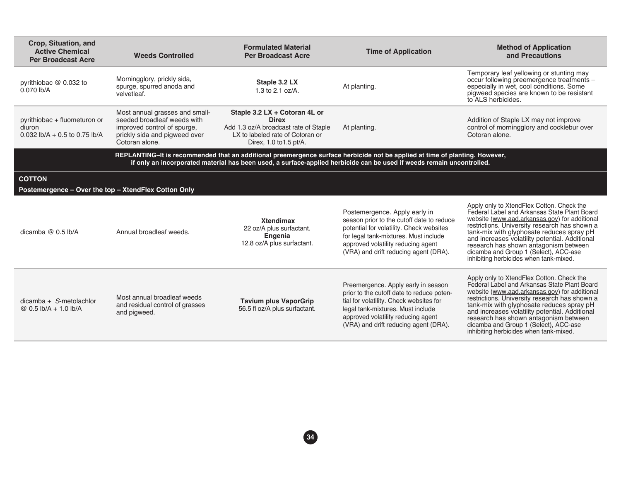| Crop, Situation, and<br><b>Active Chemical</b><br><b>Per Broadcast Acre</b>                       | <b>Weeds Controlled</b>                                                                                                                         | <b>Formulated Material</b><br><b>Per Broadcast Acre</b>                                                                                               | <b>Time of Application</b>                                                                                                                                                                                                                           | <b>Method of Application</b><br>and Precautions                                                                                                                                                                                                                                                                                                                                                                        |
|---------------------------------------------------------------------------------------------------|-------------------------------------------------------------------------------------------------------------------------------------------------|-------------------------------------------------------------------------------------------------------------------------------------------------------|------------------------------------------------------------------------------------------------------------------------------------------------------------------------------------------------------------------------------------------------------|------------------------------------------------------------------------------------------------------------------------------------------------------------------------------------------------------------------------------------------------------------------------------------------------------------------------------------------------------------------------------------------------------------------------|
| pyrithiobac @ 0.032 to<br>$0.070$ lb/A                                                            | Morningglory, prickly sida,<br>spurge, spurred anoda and<br>velvetleaf.                                                                         | Staple 3.2 LX<br>1.3 to 2.1 oz/A.                                                                                                                     | At planting.                                                                                                                                                                                                                                         | Temporary leaf yellowing or stunting may<br>occur following preemergence treatments -<br>especially in wet, cool conditions. Some<br>pigweed species are known to be resistant<br>to ALS herbicides.                                                                                                                                                                                                                   |
| pyrithiobac + fluometuron or<br>diuron<br>0.032 $\frac{1}{2}$ h/A + 0.5 to 0.75 $\frac{1}{2}$ h/A | Most annual grasses and small-<br>seeded broadleaf weeds with<br>improved control of spurge.<br>prickly sida and pigweed over<br>Cotoran alone. | Staple 3.2 LX + Cotoran 4L or<br><b>Direx</b><br>Add 1.3 oz/A broadcast rate of Staple<br>LX to labeled rate of Cotoran or<br>Direx, 1.0 to 1.5 pt/A. | At planting.                                                                                                                                                                                                                                         | Addition of Staple LX may not improve<br>control of morningglory and cocklebur over<br>Cotoran alone.                                                                                                                                                                                                                                                                                                                  |
|                                                                                                   |                                                                                                                                                 |                                                                                                                                                       | REPLANTING-It is recommended that an additional preemergence surface herbicide not be applied at time of planting. However,<br>if only an incorporated material has been used, a surface-applied herbicide can be used if weeds remain uncontrolled. |                                                                                                                                                                                                                                                                                                                                                                                                                        |
| <b>COTTON</b><br>Postemergence - Over the top - XtendFlex Cotton Only                             |                                                                                                                                                 |                                                                                                                                                       |                                                                                                                                                                                                                                                      |                                                                                                                                                                                                                                                                                                                                                                                                                        |
| dicamba $@$ 0.5 lb/A                                                                              | Annual broadleaf weeds.                                                                                                                         | <b>Xtendimax</b><br>22 oz/A plus surfactant.<br>Engenia<br>12.8 oz/A plus surfactant.                                                                 | Postemergence. Apply early in<br>season prior to the cutoff date to reduce<br>potential for volatility. Check websites<br>for legal tank-mixtures. Must include<br>approved volatility reducing agent<br>(VRA) and drift reducing agent (DRA).       | Apply only to XtendFlex Cotton. Check the<br>Federal Label and Arkansas State Plant Board<br>website (www.aad.arkansas.gov) for additional<br>restrictions. University research has shown a<br>tank-mix with glyphosate reduces spray pH<br>and increases volatility potential. Additional<br>research has shown antagonism between<br>dicamba and Group 1 (Select), ACC-ase<br>inhibiting herbicides when tank-mixed. |
| $dicamba + S-metolachlor$<br>@ 0.5 lb/A + 1.0 lb/A                                                | Most annual broadleaf weeds<br>and residual control of grasses<br>and pigweed.                                                                  | <b>Tavium plus VaporGrip</b><br>56.5 fl oz/A plus surfactant.                                                                                         | Preemergence. Apply early in season<br>prior to the cutoff date to reduce poten-<br>tial for volatility. Check websites for<br>legal tank-mixtures. Must include<br>approved volatility reducing agent<br>(VRA) and drift reducing agent (DRA).      | Apply only to XtendFlex Cotton. Check the<br>Federal Label and Arkansas State Plant Board<br>website (www.aad.arkansas.gov) for additional<br>restrictions. University research has shown a<br>tank-mix with glyphosate reduces spray pH<br>and increases volatility potential. Additional<br>research has shown antagonism between<br>dicamba and Group 1 (Select), ACC-ase<br>inhibiting herbicides when tank-mixed. |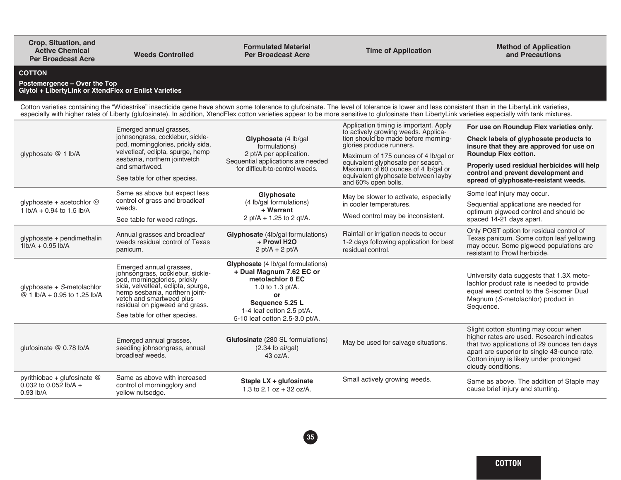| Crop, Situation, and<br><b>Active Chemical</b><br><b>Per Broadcast Acre</b>                            | <b>Weeds Controlled</b>                                                                                                                                                                                                                                           | <b>Formulated Material</b><br><b>Per Broadcast Acre</b>                                                                                                                                           | <b>Time of Application</b>                                                                                                                                                                                                                                                                                                                                                                            | <b>Method of Application</b><br>and Precautions                                                                                                                                                                                                                                      |
|--------------------------------------------------------------------------------------------------------|-------------------------------------------------------------------------------------------------------------------------------------------------------------------------------------------------------------------------------------------------------------------|---------------------------------------------------------------------------------------------------------------------------------------------------------------------------------------------------|-------------------------------------------------------------------------------------------------------------------------------------------------------------------------------------------------------------------------------------------------------------------------------------------------------------------------------------------------------------------------------------------------------|--------------------------------------------------------------------------------------------------------------------------------------------------------------------------------------------------------------------------------------------------------------------------------------|
| <b>COTTON</b><br>Postemergence - Over the Top<br>Glytol + LibertyLink or XtendFlex or Enlist Varieties |                                                                                                                                                                                                                                                                   |                                                                                                                                                                                                   |                                                                                                                                                                                                                                                                                                                                                                                                       |                                                                                                                                                                                                                                                                                      |
|                                                                                                        |                                                                                                                                                                                                                                                                   |                                                                                                                                                                                                   | Cotton varieties containing the "Widestrike" insecticide gene have shown some tolerance to glufosinate. The level of tolerance is lower and less consistent than in the LibertyLink varieties,<br>especially with higher rates of Liberty (glufosinate). In addition, XtendFlex cotton varieties appear to be more sensitive to glufosinate than LibertyLink varieties especially with tank mixtures. |                                                                                                                                                                                                                                                                                      |
| glyphosate @ 1 lb/A                                                                                    | Emerged annual grasses,<br>johnsongrass, cocklebur, sickle-<br>pod, morningglories, prickly sida,<br>velvetleaf, eclipta, spurge, hemp<br>sesbania, northern jointvetch<br>and smartweed.<br>See table for other species.                                         | Glyphosate (4 lb/gal<br>formulations)<br>2 pt/A per application.<br>Sequential applications are needed<br>for difficult-to-control weeds.                                                         | Application timing is important. Apply<br>to actively growing weeds. Applica-<br>tion should be made before morning-<br>glories produce runners.<br>Maximum of 175 ounces of 4 lb/gal or<br>equivalent glyphosate per season.<br>Maximum of 60 ounces of 4 lb/gal or<br>equivalent glyphosate between layby                                                                                           | For use on Roundup Flex varieties only.<br>Check labels of glyphosate products to<br>insure that they are approved for use on<br>Roundup Flex cotton.<br>Properly used residual herbicides will help<br>control and prevent development and<br>spread of glyphosate-resistant weeds. |
| glyphosate + acetochlor $@$<br>1 lb/A + 0.94 to 1.5 lb/A                                               | Same as above but expect less<br>control of grass and broadleaf<br>weeds.<br>See table for weed ratings.                                                                                                                                                          | Glyphosate<br>(4 lb/gal formulations)<br>+ Warrant<br>2 pt/A + 1.25 to 2 qt/A.                                                                                                                    | and 60% open bolls.<br>May be slower to activate, especially<br>in cooler temperatures.<br>Weed control may be inconsistent.                                                                                                                                                                                                                                                                          | Some leaf injury may occur.<br>Sequential applications are needed for<br>optimum pigweed control and should be<br>spaced 14-21 days apart.                                                                                                                                           |
| glyphosate + pendimethalin<br>$1 lb/A + 0.95 lb/A$                                                     | Annual grasses and broadleaf<br>weeds residual control of Texas<br>panicum.                                                                                                                                                                                       | Glyphosate (4lb/gal formulations)<br>+ Prowl H2O<br>$2$ pt/A + 2 pt/A                                                                                                                             | Rainfall or irrigation needs to occur<br>1-2 days following application for best<br>residual control.                                                                                                                                                                                                                                                                                                 | Only POST option for residual control of<br>Texas panicum. Some cotton leaf yellowing<br>may occur. Some pigweed populations are<br>resistant to Prowl herbicide.                                                                                                                    |
| glyphosate $+$ S-metolachlor<br>@ 1 lb/A + 0.95 to 1.25 lb/A                                           | Emerged annual grasses,<br>johnsongrass, cocklebur, sickle-<br>pod, morningglories, prickly<br>sida, velvetleaf, eclipta, spurge,<br>hemp sesbania, northern joint-<br>vetch and smartweed plus<br>residual on pigweed and grass.<br>See table for other species. | Glyphosate (4 lb/gal formulations)<br>+ Dual Magnum 7.62 EC or<br>metolachior 8 EC<br>1.0 to 1.3 $pt/A$ .<br>or<br>Sequence 5.25 L<br>1-4 leaf cotton 2.5 pt/A.<br>5-10 leaf cotton 2.5-3.0 pt/A. |                                                                                                                                                                                                                                                                                                                                                                                                       | University data suggests that 1.3X meto-<br>lachlor product rate is needed to provide<br>equal weed control to the S-isomer Dual<br>Magnum (S-metolachlor) product in<br>Sequence.                                                                                                   |
| glufosinate @ 0.78 lb/A                                                                                | Emerged annual grasses,<br>seedling johnsongrass, annual<br>broadleaf weeds.                                                                                                                                                                                      | Glufosinate (280 SL formulations)<br>(2.34 lb ai/gal)<br>43 oz/A.                                                                                                                                 | May be used for salvage situations.                                                                                                                                                                                                                                                                                                                                                                   | Slight cotton stunting may occur when<br>higher rates are used. Research indicates<br>that two applications of 29 ounces ten days<br>apart are superior to single 43-ounce rate.<br>Cotton injury is likely under prolonged<br>cloudy conditions.                                    |
| pyrithiobac + glufosinate @<br>0.032 to 0.052 lb/A +<br>$0.93$ lb/A                                    | Same as above with increased<br>control of morningglory and<br>vellow nutsedge.                                                                                                                                                                                   | Staple LX + glufosinate<br>1.3 to 2.1 oz + 32 oz/A.                                                                                                                                               | Small actively growing weeds.                                                                                                                                                                                                                                                                                                                                                                         | Same as above. The addition of Staple may<br>cause brief injury and stunting.                                                                                                                                                                                                        |

yellow nutsedge.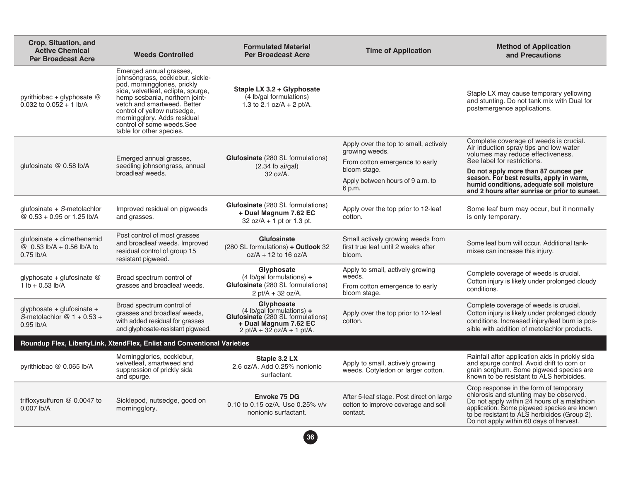| Crop, Situation, and<br><b>Active Chemical</b><br><b>Per Broadcast Acre</b> | <b>Weeds Controlled</b>                                                                                                                                                                                                                                                                                                   | <b>Formulated Material</b><br><b>Per Broadcast Acre</b>                                                                                                | <b>Time of Application</b>                                                                                                                              | <b>Method of Application</b><br>and Precautions                                                                                                                                                                                                                                                                                       |
|-----------------------------------------------------------------------------|---------------------------------------------------------------------------------------------------------------------------------------------------------------------------------------------------------------------------------------------------------------------------------------------------------------------------|--------------------------------------------------------------------------------------------------------------------------------------------------------|---------------------------------------------------------------------------------------------------------------------------------------------------------|---------------------------------------------------------------------------------------------------------------------------------------------------------------------------------------------------------------------------------------------------------------------------------------------------------------------------------------|
| pyrithiobac + glyphosate $@$<br>0.032 to $0.052 + 1$ lb/A                   | Emerged annual grasses,<br>johnsongrass, cocklebur, sickle-<br>pod, morningglories, prickly<br>sida, velvetleaf, eclipta, spurge,<br>hemp sesbania, northern joint-<br>vetch and smartweed. Better<br>control of yellow nutsedge,<br>morningglory. Adds residual<br>control of some weeds.See<br>table for other species. | Staple LX 3.2 + Glyphosate<br>(4 lb/gal formulations)<br>1.3 to 2.1 oz/A + 2 pt/A.                                                                     |                                                                                                                                                         | Staple LX may cause temporary yellowing<br>and stunting. Do not tank mix with Dual for<br>postemergence applications.                                                                                                                                                                                                                 |
| qlufosinate $@$ 0.58 lb/A                                                   | Emerged annual grasses,<br>seedling johnsongrass, annual<br>broadleaf weeds.                                                                                                                                                                                                                                              | <b>Glufosinate</b> (280 SL formulations)<br>$(2.34$ lb ai/gal)<br>32 oz/A.                                                                             | Apply over the top to small, actively<br>growing weeds.<br>From cotton emergence to early<br>bloom stage.<br>Apply between hours of 9 a.m. to<br>6 p.m. | Complete coverage of weeds is crucial.<br>Air induction spray tips and low water<br>volumes may reduce effectiveness.<br>See label for restrictions.<br>Do not apply more than 87 ounces per<br>season. For best results, apply in warm,<br>humid conditions, adequate soil moisture<br>and 2 hours after sunrise or prior to sunset. |
| glufosinate + $S$ -metolachlor<br>@ 0.53 + 0.95 or 1.25 lb/A                | Improved residual on pigweeds<br>and grasses.                                                                                                                                                                                                                                                                             | <b>Glufosinate</b> (280 SL formulations)<br>+ Dual Magnum 7.62 EC<br>$32 oz/A + 1 pt or 1.3 pt.$                                                       | Apply over the top prior to 12-leaf<br>cotton.                                                                                                          | Some leaf burn may occur, but it normally<br>is only temporary.                                                                                                                                                                                                                                                                       |
| glufosinate + dimethenamid<br>@ $0.53$ lb/A + 0.56 lb/A to<br>$0.75$ lb/A   | Post control of most grasses<br>and broadleaf weeds. Improved<br>residual control of group 15<br>resistant pigweed.                                                                                                                                                                                                       | Glufosinate<br>(280 SL formulations) + Outlook 32<br>$oz/A + 12$ to 16 oz/A                                                                            | Small actively growing weeds from<br>first true leaf until 2 weeks after<br>bloom.                                                                      | Some leaf burn will occur. Additional tank-<br>mixes can increase this injury.                                                                                                                                                                                                                                                        |
| glyphosate + glufosinate $@$<br>$1 lb + 0.53 lb/A$                          | Broad spectrum control of<br>grasses and broadleaf weeds.                                                                                                                                                                                                                                                                 | Glyphosate<br>$(4 \text{ lb/gal formulas}) +$<br>Glufosinate (280 SL formulations)<br>2 pt/A + 32 oz/A.                                                | Apply to small, actively growing<br>weeds.<br>From cotton emergence to early<br>bloom stage.                                                            | Complete coverage of weeds is crucial.<br>Cotton injury is likely under prolonged cloudy<br>conditions.                                                                                                                                                                                                                               |
| glyphosate + glufosinate +<br>S-metolachlor $@1 + 0.53 +$<br>$0.95$ lb/A    | Broad spectrum control of<br>grasses and broadleaf weeds,<br>with added residual for grasses<br>and glyphosate-resistant pigweed.                                                                                                                                                                                         | Glyphosate<br>$(4 \text{ lb/gal}$ formulations) +<br><b>Glufosinate</b> (280 SL formulations)<br>+ Dual Magnum 7.62 EC<br>$2$ pt/A + 32 oz/A + 1 pt/A. | Apply over the top prior to 12-leaf<br>cotton.                                                                                                          | Complete coverage of weeds is crucial.<br>Cotton injury is likely under prolonged cloudy<br>conditions. Increased injury/leaf burn is pos-<br>sible with addition of metolachlor products.                                                                                                                                            |
|                                                                             | Roundup Flex, LibertyLink, XtendFlex, Enlist and Conventional Varieties                                                                                                                                                                                                                                                   |                                                                                                                                                        |                                                                                                                                                         |                                                                                                                                                                                                                                                                                                                                       |
| pyrithiobac @ 0.065 lb/A                                                    | Morningglories, cocklebur,<br>velvetleaf, smartweed and<br>suppression of prickly sida<br>and spurge.                                                                                                                                                                                                                     | Staple 3.2 LX<br>2.6 oz/A. Add 0.25% nonionic<br>surfactant.                                                                                           | Apply to small, actively growing<br>weeds. Cotyledon or larger cotton.                                                                                  | Rainfall after application aids in prickly sida<br>and spurge control. Avoid drift to corn or<br>grain sorghum. Some pigweed species are<br>known to be resistant to ALS herbicides.                                                                                                                                                  |
| trifloxysulfuron @ 0.0047 to<br>0.007 lb/A                                  | Sicklepod, nutsedge, good on<br>morningglory.                                                                                                                                                                                                                                                                             | Envoke 75 DG<br>0.10 to 0.15 oz/A. Use 0.25% v/v<br>nonionic surfactant.                                                                               | After 5-leaf stage. Post direct on large<br>cotton to improve coverage and soil<br>contact.                                                             | Crop response in the form of temporary<br>chlorosis and stunting may be observed.<br>Do not apply within 24 hours of a malathion<br>application. Some pigweed species are known<br>to be resistant to ALS herbicides (Group 2).<br>Do not apply within 60 days of harvest.                                                            |

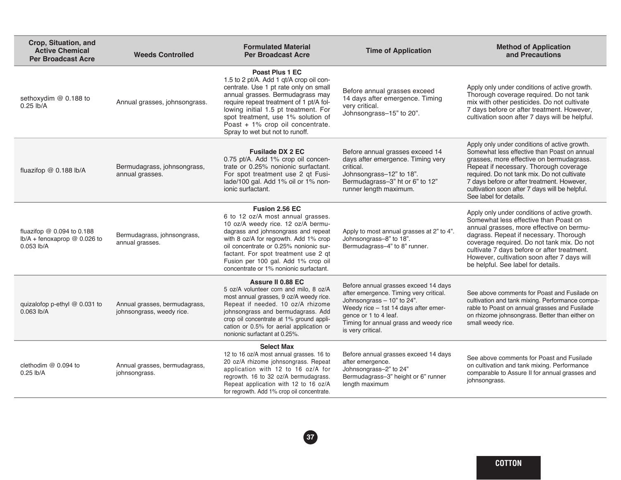| Crop, Situation, and<br><b>Active Chemical</b><br><b>Per Broadcast Acre</b>     | <b>Weeds Controlled</b>                                    | <b>Formulated Material</b><br><b>Per Broadcast Acre</b>                                                                                                                                                                                                                                                                                      | <b>Time of Application</b>                                                                                                                                                                                                                   | <b>Method of Application</b><br>and Precautions                                                                                                                                                                                                                                                                                                                |
|---------------------------------------------------------------------------------|------------------------------------------------------------|----------------------------------------------------------------------------------------------------------------------------------------------------------------------------------------------------------------------------------------------------------------------------------------------------------------------------------------------|----------------------------------------------------------------------------------------------------------------------------------------------------------------------------------------------------------------------------------------------|----------------------------------------------------------------------------------------------------------------------------------------------------------------------------------------------------------------------------------------------------------------------------------------------------------------------------------------------------------------|
| sethoxydim @ 0.188 to<br>$0.25$ lb/A                                            | Annual grasses, johnsongrass.                              | Poast Plus 1 EC<br>1.5 to 2 pt/A. Add 1 qt/A crop oil con-<br>centrate. Use 1 pt rate only on small<br>annual grasses. Bermudagrass may<br>require repeat treatment of 1 pt/A fol-<br>lowing initial 1.5 pt treatment. For<br>spot treatment, use 1% solution of<br>Poast + 1% crop oil concentrate.<br>Spray to wet but not to runoff.      | Before annual grasses exceed<br>14 days after emergence. Timing<br>very critical.<br>Johnsongrass-15" to 20".                                                                                                                                | Apply only under conditions of active growth.<br>Thorough coverage required. Do not tank<br>mix with other pesticides. Do not cultivate<br>7 days before or after treatment. However,<br>cultivation soon after 7 days will be helpful.                                                                                                                        |
| fluazifop @ 0.188 lb/A                                                          | Bermudagrass, johnsongrass,<br>annual grasses.             | <b>Fusilade DX 2 EC</b><br>0.75 pt/A. Add 1% crop oil concen-<br>trate or 0.25% nonionic surfactant.<br>For spot treatment use 2 qt Fusi-<br>lade/100 gal. Add 1% oil or 1% non-<br>ionic surfactant.                                                                                                                                        | Before annual grasses exceed 14<br>days after emergence. Timing very<br>critical.<br>Johnsongrass-12" to 18".<br>Bermudagrass-3" ht or 6" to 12"<br>runner length maximum.                                                                   | Apply only under conditions of active growth.<br>Somewhat less effective than Poast on annual<br>grasses, more effective on bermudagrass.<br>Repeat if necessary. Thorough coverage<br>required. Do not tank mix. Do not cultivate<br>7 days before or after treatment. However,<br>cultivation soon after 7 days will be helpful.<br>See label for details.   |
| fluazifop $@$ 0.094 to 0.188<br>$lb/A + f$ enoxaprop @ 0.026 to<br>$0.053$ lb/A | Bermudagrass, johnsongrass,<br>annual grasses.             | Fusion 2.56 EC<br>6 to 12 oz/A most annual grasses.<br>10 oz/A weedy rice. 12 oz/A bermu-<br>dagrass and johnsongrass and repeat<br>with 8 oz/A for regrowth. Add 1% crop<br>oil concentrate or 0.25% nonionic sur-<br>factant. For spot treatment use 2 qt<br>Fusion per 100 gal. Add 1% crop oil<br>concentrate or 1% nonionic surfactant. | Apply to most annual grasses at 2" to 4".<br>Johnsongrass-8" to 18".<br>Bermudagrass-4" to 8" runner.                                                                                                                                        | Apply only under conditions of active growth.<br>Somewhat less effective than Poast on<br>annual grasses, more effective on bermu-<br>dagrass. Repeat if necessary. Thorough<br>coverage required. Do not tank mix. Do not<br>cultivate 7 days before or after treatment.<br>However, cultivation soon after 7 days will<br>be helpful. See label for details. |
| quizalofop p-ethyl @ 0.031 to<br>$0.063$ lb/A                                   | Annual grasses, bermudagrass,<br>johnsongrass, weedy rice. | Assure II 0.88 EC<br>5 oz/A volunteer corn and milo, 8 oz/A<br>most annual grasses, 9 oz/A weedy rice.<br>Repeat if needed. 10 oz/A rhizome<br>johnsongrass and bermudagrass. Add<br>crop oil concentrate at 1% ground appli-<br>cation or 0.5% for aerial application or<br>nonionic surfactant at 0.25%.                                   | Before annual grasses exceed 14 days<br>after emergence. Timing very critical.<br>Johnsongrass - 10" to 24".<br>Weedy rice - 1st 14 days after emer-<br>gence or 1 to 4 leaf.<br>Timing for annual grass and weedy rice<br>is very critical. | See above comments for Poast and Fusilade on<br>cultivation and tank mixing. Performance compa-<br>rable to Poast on annual grasses and Fusilade<br>on rhizome johnsongrass. Better than either on<br>small weedy rice.                                                                                                                                        |
| clethodim @ 0.094 to<br>$0.25$ lb/A                                             | Annual grasses, bermudagrass,<br>johnsongrass.             | <b>Select Max</b><br>12 to 16 oz/A most annual grasses. 16 to<br>20 oz/A rhizome johnsongrass. Repeat<br>application with 12 to 16 oz/A for<br>regrowth. 16 to 32 oz/A bermudagrass.<br>Repeat application with 12 to 16 oz/A<br>for regrowth. Add 1% crop oil concentrate.                                                                  | Before annual grasses exceed 14 days<br>after emergence.<br>Johnsongrass-2" to 24"<br>Bermudagrass-3" height or 6" runner<br>length maximum                                                                                                  | See above comments for Poast and Fusilade<br>on cultivation and tank mixing. Performance<br>comparable to Assure II for annual grasses and<br>johnsongrass.                                                                                                                                                                                                    |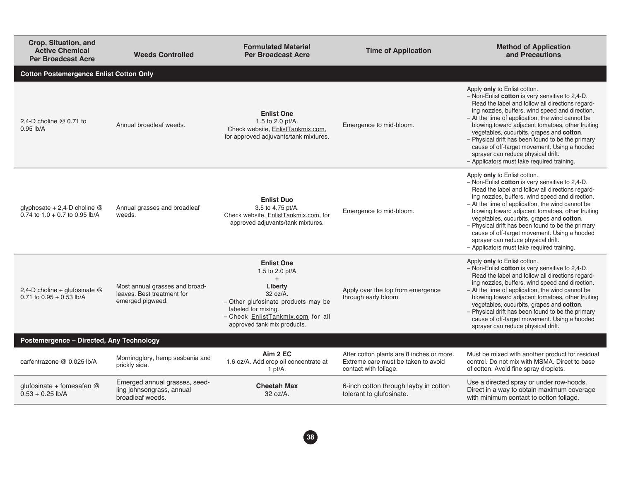| Crop, Situation, and<br><b>Active Chemical</b><br><b>Per Broadcast Acre</b> | <b>Weeds Controlled</b>                                                          | <b>Formulated Material</b><br><b>Per Broadcast Acre</b>                                                                                                                                                 | <b>Time of Application</b>                                                                                | <b>Method of Application</b><br>and Precautions                                                                                                                                                                                                                                                                                                                                                                                                                                                                                      |
|-----------------------------------------------------------------------------|----------------------------------------------------------------------------------|---------------------------------------------------------------------------------------------------------------------------------------------------------------------------------------------------------|-----------------------------------------------------------------------------------------------------------|--------------------------------------------------------------------------------------------------------------------------------------------------------------------------------------------------------------------------------------------------------------------------------------------------------------------------------------------------------------------------------------------------------------------------------------------------------------------------------------------------------------------------------------|
| <b>Cotton Postemergence Enlist Cotton Only</b>                              |                                                                                  |                                                                                                                                                                                                         |                                                                                                           |                                                                                                                                                                                                                                                                                                                                                                                                                                                                                                                                      |
| 2.4-D choline $@$ 0.71 to<br>$0.95$ lb/A                                    | Annual broadleaf weeds.                                                          | <b>Enlist One</b><br>1.5 to 2.0 pt/A.<br>Check website, EnlistTankmix.com,<br>for approved adjuvants/tank mixtures.                                                                                     | Emergence to mid-bloom.                                                                                   | Apply only to Enlist cotton.<br>- Non-Enlist cotton is very sensitive to 2,4-D.<br>Read the label and follow all directions regard-<br>ing nozzles, buffers, wind speed and direction.<br>- At the time of application, the wind cannot be<br>blowing toward adjacent tomatoes, other fruiting<br>vegetables, cucurbits, grapes and cotton.<br>- Physical drift has been found to be the primary<br>cause of off-target movement. Using a hooded<br>sprayer can reduce physical drift.<br>- Applicators must take required training. |
| qlyphosate + 2,4-D choline $@$<br>$0.74$ to $1.0 + 0.7$ to $0.95$ lb/A      | Annual grasses and broadleaf<br>weeds.                                           | <b>Enlist Duo</b><br>3.5 to 4.75 pt/A.<br>Check website, EnlistTankmix.com, for<br>approved adjuvants/tank mixtures.                                                                                    | Emergence to mid-bloom.                                                                                   | Apply only to Enlist cotton.<br>- Non-Enlist cotton is very sensitive to 2.4-D.<br>Read the label and follow all directions regard-<br>ing nozzles, buffers, wind speed and direction.<br>- At the time of application, the wind cannot be<br>blowing toward adjacent tomatoes, other fruiting<br>vegetables, cucurbits, grapes and cotton.<br>- Physical drift has been found to be the primary<br>cause of off-target movement. Using a hooded<br>sprayer can reduce physical drift.<br>- Applicators must take required training. |
| 2,4-D choline + glufosinate $@$<br>$0.71$ to $0.95 + 0.53$ lb/A             | Most annual grasses and broad-<br>leaves. Best treatment for<br>emerged pigweed. | <b>Enlist One</b><br>1.5 to 2.0 pt/A<br>$+$<br>Liberty<br>$32 oz/A$ .<br>- Other glufosinate products may be<br>labeled for mixing.<br>- Check EnlistTankmix.com for all<br>approved tank mix products. | Apply over the top from emergence<br>through early bloom.                                                 | Apply only to Enlist cotton.<br>- Non-Enlist cotton is very sensitive to 2,4-D.<br>Read the label and follow all directions regard-<br>ing nozzles, buffers, wind speed and direction.<br>- At the time of application, the wind cannot be<br>blowing toward adjacent tomatoes, other fruiting<br>vegetables, cucurbits, grapes and cotton.<br>- Physical drift has been found to be the primary<br>cause of off-target movement. Using a hooded<br>sprayer can reduce physical drift.                                               |
| Postemergence - Directed, Any Technology                                    |                                                                                  |                                                                                                                                                                                                         |                                                                                                           |                                                                                                                                                                                                                                                                                                                                                                                                                                                                                                                                      |
| carfentrazone @ 0.025 lb/A                                                  | Morningglory, hemp sesbania and<br>prickly sida.                                 | Aim 2 EC<br>1.6 oz/A. Add crop oil concentrate at<br>1 pt/ $A$ .                                                                                                                                        | After cotton plants are 8 inches or more.<br>Extreme care must be taken to avoid<br>contact with foliage. | Must be mixed with another product for residual<br>control. Do not mix with MSMA. Direct to base<br>of cotton. Avoid fine spray droplets.                                                                                                                                                                                                                                                                                                                                                                                            |
| qlufosinate + fomesafen $@$<br>$0.53 + 0.25$ lb/A                           | Emerged annual grasses, seed-<br>ling johnsongrass, annual<br>broadleaf weeds.   | <b>Cheetah Max</b><br>$32 oz/A$ .                                                                                                                                                                       | 6-inch cotton through layby in cotton<br>tolerant to glufosinate.                                         | Use a directed spray or under row-hoods.<br>Direct in a way to obtain maximum coverage<br>with minimum contact to cotton foliage.                                                                                                                                                                                                                                                                                                                                                                                                    |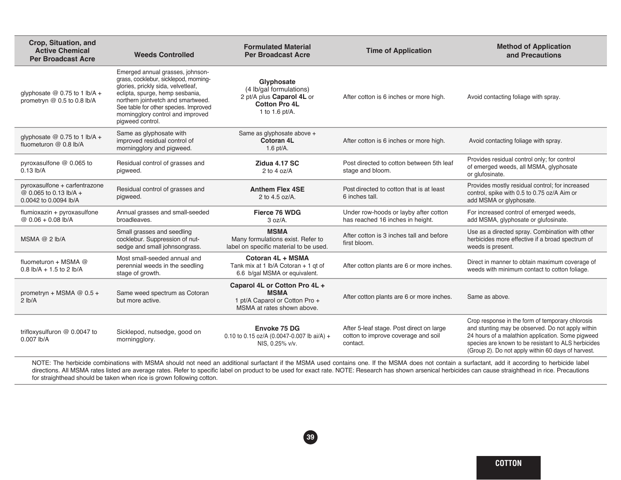| Crop, Situation, and<br><b>Active Chemical</b><br><b>Per Broadcast Acre</b>      | <b>Weeds Controlled</b>                                                                                                                                                                                                                                                                    | <b>Formulated Material</b><br><b>Per Broadcast Acre</b>                                                      | <b>Time of Application</b>                                                                  | <b>Method of Application</b><br>and Precautions                                                                                                                                                                                                                                                                                                                                                                   |
|----------------------------------------------------------------------------------|--------------------------------------------------------------------------------------------------------------------------------------------------------------------------------------------------------------------------------------------------------------------------------------------|--------------------------------------------------------------------------------------------------------------|---------------------------------------------------------------------------------------------|-------------------------------------------------------------------------------------------------------------------------------------------------------------------------------------------------------------------------------------------------------------------------------------------------------------------------------------------------------------------------------------------------------------------|
| glyphosate $@$ 0.75 to 1 lb/A +<br>prometryn $@$ 0.5 to 0.8 lb/A                 | Emerged annual grasses, johnson-<br>grass, cocklebur, sicklepod, morning-<br>glories, prickly sida, velvetleaf,<br>eclipta, spurge, hemp sesbania,<br>northern jointvetch and smartweed.<br>See table for other species. Improved<br>morningglory control and improved<br>pigweed control. | Glyphosate<br>(4 lb/gal formulations)<br>2 pt/A plus Caparol 4L or<br><b>Cotton Pro 4L</b><br>1 to 1.6 pt/A. | After cotton is 6 inches or more high.                                                      | Avoid contacting foliage with spray.                                                                                                                                                                                                                                                                                                                                                                              |
| glyphosate $@$ 0.75 to 1 lb/A +<br>fluometuron @ 0.8 lb/A                        | Same as glyphosate with<br>improved residual control of<br>morningglory and pigweed.                                                                                                                                                                                                       | Same as glyphosate above +<br>Cotoran 4L<br>1.6 $pt/A$ .                                                     | After cotton is 6 inches or more high.                                                      | Avoid contacting foliage with spray.                                                                                                                                                                                                                                                                                                                                                                              |
| pyroxasulfone $@$ 0.065 to<br>$0.13$ lb/A                                        | Residual control of grasses and<br>pigweed.                                                                                                                                                                                                                                                | Zidua 4.17 SC<br>2 to 4 oz/ $A$                                                                              | Post directed to cotton between 5th leaf<br>stage and bloom.                                | Provides residual control only; for control<br>of emerged weeds, all MSMA, glyphosate<br>or glufosinate.                                                                                                                                                                                                                                                                                                          |
| pyroxasulfone + carfentrazone<br>@ 0.065 to 0.13 lb/A +<br>0.0042 to 0.0094 lb/A | Residual control of grasses and<br>pigweed.                                                                                                                                                                                                                                                | <b>Anthem Flex 4SE</b><br>2 to 4.5 oz/A.                                                                     | Post directed to cotton that is at least<br>6 inches tall.                                  | Provides mostly residual control; for increased<br>control, spike with 0.5 to 0.75 oz/A Aim or<br>add MSMA or glyphosate.                                                                                                                                                                                                                                                                                         |
| flumioxazin + pyroxasulfone<br>@ $0.06 + 0.08$ lb/A                              | Annual grasses and small-seeded<br>broadleaves.                                                                                                                                                                                                                                            | Fierce 76 WDG<br>3 oz/A.                                                                                     | Under row-hoods or layby after cotton<br>has reached 16 inches in height.                   | For increased control of emerged weeds,<br>add MSMA, glyphosate or glufosinate.                                                                                                                                                                                                                                                                                                                                   |
| MSMA $@$ 2 lb/A                                                                  | Small grasses and seedling<br>cocklebur. Suppression of nut-<br>sedge and small johnsongrass.                                                                                                                                                                                              | <b>MSMA</b><br>Many formulations exist. Refer to<br>label on specific material to be used.                   | After cotton is 3 inches tall and before<br>first bloom.                                    | Use as a directed spray. Combination with other<br>herbicides more effective if a broad spectrum of<br>weeds is present.                                                                                                                                                                                                                                                                                          |
| fluometuron + MSMA @<br>$0.8$ lb/A + 1.5 to 2 lb/A                               | Most small-seeded annual and<br>perennial weeds in the seedling<br>stage of growth.                                                                                                                                                                                                        | Cotoran 4L + MSMA<br>Tank mix at 1 lb/A Cotoran + 1 gt of<br>6.6 b/gal MSMA or equivalent.                   | After cotton plants are 6 or more inches.                                                   | Direct in manner to obtain maximum coverage of<br>weeds with minimum contact to cotton foliage.                                                                                                                                                                                                                                                                                                                   |
| prometryn + MSMA $@$ 0.5 +<br>$2$ lb/A                                           | Same weed spectrum as Cotoran<br>but more active.                                                                                                                                                                                                                                          | Caparol 4L or Cotton Pro 4L +<br><b>MSMA</b><br>1 pt/A Caparol or Cotton Pro +<br>MSMA at rates shown above. | After cotton plants are 6 or more inches.                                                   | Same as above.                                                                                                                                                                                                                                                                                                                                                                                                    |
| trifloxysulfuron @ 0.0047 to<br>0.007 lb/A                                       | Sicklepod, nutsedge, good on<br>morningglory.                                                                                                                                                                                                                                              | Envoke 75 DG<br>0.10 to 0.15 oz/A (0.0047-0.007 lb ai/A) +<br>NIS, 0.25% v/v.                                | After 5-leaf stage. Post direct on large<br>cotton to improve coverage and soil<br>contact. | Crop response in the form of temporary chlorosis<br>and stunting may be observed. Do not apply within<br>24 hours of a malathion application. Some pigweed<br>species are known to be resistant to ALS herbicides<br>(Group 2). Do not apply within 60 days of harvest.                                                                                                                                           |
|                                                                                  |                                                                                                                                                                                                                                                                                            |                                                                                                              |                                                                                             | NOTE: The herbicide combinations with MSMA should not need an additional surfactant if the MSMA used contains one. If the MSMA does not contain a surfactant, add it according to herbicide label<br>directions. All MSMA rates listed are average rates. Refer to specific label on product to be used for exact rate. NOTE: Research has shown arsenical herbicides can cause straighthead in rice. Precautions |

for straighthead should be taken when rice is grown following cotton.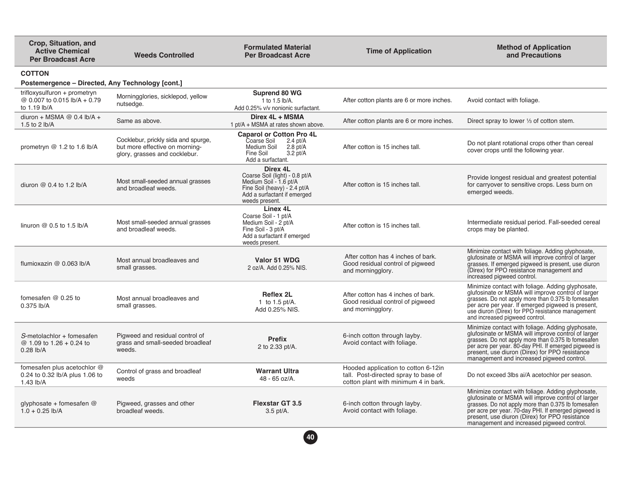| Crop, Situation, and<br><b>Active Chemical</b><br><b>Per Broadcast Acre</b>  | <b>Weeds Controlled</b>                                                                                | <b>Formulated Material</b><br><b>Per Broadcast Acre</b>                                                                                               | <b>Time of Application</b>                                                                                          | <b>Method of Application</b><br>and Precautions                                                                                                                                                                                                                                                                      |
|------------------------------------------------------------------------------|--------------------------------------------------------------------------------------------------------|-------------------------------------------------------------------------------------------------------------------------------------------------------|---------------------------------------------------------------------------------------------------------------------|----------------------------------------------------------------------------------------------------------------------------------------------------------------------------------------------------------------------------------------------------------------------------------------------------------------------|
| <b>COTTON</b><br>Postemergence – Directed, Any Technology [cont.]            |                                                                                                        |                                                                                                                                                       |                                                                                                                     |                                                                                                                                                                                                                                                                                                                      |
| trifloxysulfuron + prometryn<br>@ 0.007 to 0.015 lb/A + 0.79<br>to 1.19 lb/A | Morningglories, sicklepod, yellow<br>nutsedge.                                                         | Suprend 80 WG<br>1 to 1.5 lb/A.<br>Add 0.25% v/v nonionic surfactant.                                                                                 | After cotton plants are 6 or more inches.                                                                           | Avoid contact with foliage.                                                                                                                                                                                                                                                                                          |
| diuron + MSMA @ $0.4$ lb/A +<br>1.5 to 2 lb/A                                | Same as above.                                                                                         | Direx 4L + MSMA<br>1 pt/A + MSMA at rates shown above.                                                                                                | After cotton plants are 6 or more inches.                                                                           | Direct spray to lower 1/3 of cotton stem.                                                                                                                                                                                                                                                                            |
| prometryn $@1.2$ to 1.6 lb/A                                                 | Cocklebur, prickly sida and spurge,<br>but more effective on morning-<br>glory, grasses and cocklebur. | <b>Caparol or Cotton Pro 4L</b><br>Coarse Soil<br>$2.4$ pt/A<br>Medium Soil<br>$2.8$ pt/A<br>$3.2 \text{ pt/A}$<br>Fine Soil<br>Add a surfactant.     | After cotton is 15 inches tall.                                                                                     | Do not plant rotational crops other than cereal<br>cover crops until the following year.                                                                                                                                                                                                                             |
| diuron $@$ 0.4 to 1.2 lb/A                                                   | Most small-seeded annual grasses<br>and broadleaf weeds.                                               | Direx 4L<br>Coarse Soil (light) - 0.8 pt/A<br>Medium Soil - 1.6 pt/A<br>Fine Soil (heavy) - 2.4 pt/A<br>Add a surfactant if emerged<br>weeds present. | After cotton is 15 inches tall.                                                                                     | Provide longest residual and greatest potential<br>for carryover to sensitive crops. Less burn on<br>emerged weeds.                                                                                                                                                                                                  |
| linuron $@0.5$ to 1.5 lb/A                                                   | Most small-seeded annual grasses<br>and broadleaf weeds.                                               | Linex 4L<br>Coarse Soil - 1 pt/A<br>Medium Soil - 2 pt/A<br>Fine Soil - 3 pt/A<br>Add a surfactant if emerged<br>weeds present.                       | After cotton is 15 inches tall.                                                                                     | Intermediate residual period. Fall-seeded cereal<br>crops may be planted.                                                                                                                                                                                                                                            |
| flumioxazin @ 0.063 lb/A                                                     | Most annual broadleaves and<br>small grasses.                                                          | Valor 51 WDG<br>2 oz/A. Add 0.25% NIS.                                                                                                                | After cotton has 4 inches of bark.<br>Good residual control of pigweed<br>and morningglory.                         | Minimize contact with foliage. Adding glyphosate,<br>glufosinate or MSMA will improve control of larger<br>grasses. If emerged pigweed is present, use diuron<br>(Direx) for PPO resistance management and<br>increased pigweed control.                                                                             |
| fomesafen $@0.25$ to<br>0.375 lb/A                                           | Most annual broadleaves and<br>small grasses.                                                          | Reflex 2L<br>1 to 1.5 $pt/A$ .<br>Add 0.25% NIS.                                                                                                      | After cotton has 4 inches of bark.<br>Good residual control of pigweed<br>and morningglory.                         | Minimize contact with foliage. Adding glyphosate,<br>glufosinate or MSMA will improve control of larger<br>grasses. Do not apply more than 0.375 lb fomesafen<br>per acre per year. If emerged pigweed is present,<br>use diuron (Direx) for PPO resistance management<br>and increased pigweed control.             |
| S-metolachlor + fomesafen<br>@ 1.09 to 1.26 + 0.24 to<br>$0.28$ lb/A         | Pigweed and residual control of<br>grass and small-seeded broadleaf<br>weeds.                          | <b>Prefix</b><br>2 to 2.33 pt/A.                                                                                                                      | 6-inch cotton through layby.<br>Avoid contact with foliage.                                                         | Minimize contact with foliage. Adding glyphosate,<br>glufosinate or MSMA will improve control of larger<br>grasses. Do not apply more than 0.375 lb fomesafen<br>per acre per year. 80-day PHI. If emerged pigweed is<br>present, use diuron (Direx) for PPO resistance<br>management and increased pigweed control. |
| fomesafen plus acetochlor @<br>0.24 to 0.32 lb/A plus 1.06 to<br>$1.43$ lb/A | Control of grass and broadleaf<br>weeds                                                                | <b>Warrant Ultra</b><br>48 - 65 oz/A.                                                                                                                 | Hooded application to cotton 6-12in<br>tall. Post-directed spray to base of<br>cotton plant with minimum 4 in bark. | Do not exceed 3lbs ai/A acetochlor per season.                                                                                                                                                                                                                                                                       |
| glyphosate + fomesafen @<br>$1.0 + 0.25$ lb/A                                | Pigweed, grasses and other<br>broadleaf weeds.                                                         | <b>Flexstar GT 3.5</b><br>$3.5$ pt/A.                                                                                                                 | 6-inch cotton through layby.<br>Avoid contact with foliage.                                                         | Minimize contact with foliage. Adding glyphosate,<br>glufosinate or MSMA will improve control of larger<br>grasses. Do not apply more than 0.375 lb fomesafen<br>per acre per year. 70-day PHI. If emerged pigweed is<br>present, use diuron (Direx) for PPO resistance<br>management and increased pigweed control. |
|                                                                              |                                                                                                        | 40                                                                                                                                                    |                                                                                                                     |                                                                                                                                                                                                                                                                                                                      |